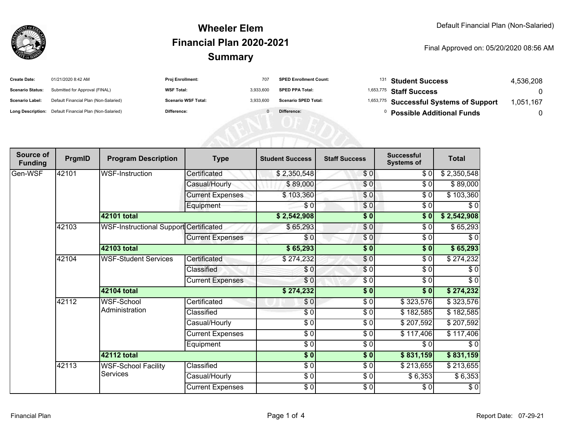

#### **SummaryWheeler ElemFinancial Plan 2020-2021**

#### Final Approved on: 05/20/2020 08:56 AM

| <b>Create Date:</b>     | 01/21/2020 8:42 AM                                      | <b>Proj Enrollment:</b>    | 707       | <b>SPED Enrollment Count:</b> | <sup>131</sup> Student Success                     | 4.536.208 |
|-------------------------|---------------------------------------------------------|----------------------------|-----------|-------------------------------|----------------------------------------------------|-----------|
| <b>Scenario Status:</b> | Submitted for Approval (FINAL)                          | <b>WSF Total:</b>          | 3.933.600 | <b>SPED PPA Total:</b>        | <sup>1,653,775</sup> Staff Success                 |           |
| <b>Scenario Label:</b>  | Default Financial Plan (Non-Salaried)                   | <b>Scenario WSF Total:</b> | 3.933.600 | <b>Scenario SPED Total:</b>   | <sup>1,653,775</sup> Successful Systems of Support | .051.167  |
|                         | Long Description: Default Financial Plan (Non-Salaried) | <b>Difference:</b>         |           | Difference:                   | <b>Possible Additional Funds</b>                   |           |

| Source of<br><b>Funding</b> | PrgmID | <b>Program Description</b>                    | <b>Type</b>             | <b>Student Success</b> | <b>Staff Success</b> | <b>Successful</b><br><b>Systems of</b> | <b>Total</b> |
|-----------------------------|--------|-----------------------------------------------|-------------------------|------------------------|----------------------|----------------------------------------|--------------|
| Gen-WSF                     | 42101  | <b>WSF-Instruction</b>                        | Certificated            | \$2,350,548            | \$0]                 | \$0                                    | \$2,350,548  |
|                             |        |                                               | Casual/Hourly           | \$89,000               | \$0                  | \$0                                    | \$89,000     |
|                             |        |                                               | <b>Current Expenses</b> | \$103,360              | \$0                  | \$0                                    | \$103,360    |
|                             |        |                                               | Equipment               | \$0                    | \$0                  | \$0                                    | $\sqrt{6}$   |
|                             |        | <b>42101 total</b>                            |                         | \$2,542,908            | $\frac{1}{2}$        | \$0                                    | \$2,542,908  |
|                             | 42103  | <b>WSF-Instructional Support Certificated</b> |                         | \$65,293               | \$0                  | \$0                                    | \$65,293     |
|                             |        |                                               | <b>Current Expenses</b> | \$0                    | \$0                  | \$0                                    | \$0          |
|                             |        | 42103 total                                   |                         | \$65,293               | \$0                  | \$0                                    | \$65,293     |
|                             | 42104  | <b>WSF-Student Services</b>                   | Certificated            | \$274,232              | \$0                  | \$0                                    | \$274,232    |
|                             |        |                                               | Classified              | \$0                    | \$0                  | \$0                                    | \$0          |
|                             |        |                                               | <b>Current Expenses</b> | \$0                    | \$0                  | \$0                                    | \$0          |
|                             |        | <b>42104 total</b>                            |                         | \$274,232              | \$0                  | $\overline{\$0}$                       | \$274,232    |
|                             | 42112  | <b>WSF-School</b><br>Administration           | Certificated            | \$0                    | $\sqrt{6}$           | \$323,576                              | \$323,576    |
|                             |        |                                               | Classified              | $\frac{1}{\epsilon}$   | $\sqrt{6}$           | \$182,585                              | \$182,585    |
|                             |        |                                               | Casual/Hourly           | \$0                    | \$0                  | \$207,592                              | \$207,592    |
|                             |        |                                               | <b>Current Expenses</b> | $\frac{1}{\epsilon}$   | \$0                  | \$117,406                              | \$117,406    |
|                             |        |                                               | Equipment               | $\frac{6}{6}$          | $\frac{3}{6}$        | \$0                                    | $\sqrt{6}$   |
|                             |        | <b>42112 total</b>                            |                         | $\sqrt{5}$             | $\frac{1}{2}$        | \$831,159                              | \$831,159    |
|                             | 42113  | <b>WSF-School Facility</b><br><b>Services</b> | Classified              | $\frac{3}{6}$          | $\sqrt{6}$           | \$213,655                              | \$213,655    |
|                             |        |                                               | Casual/Hourly           | \$0                    | \$0                  | \$6,353                                | \$6,353      |
|                             |        |                                               | <b>Current Expenses</b> | $\frac{6}{6}$          | \$0                  | \$0]                                   | $\sqrt{6}$   |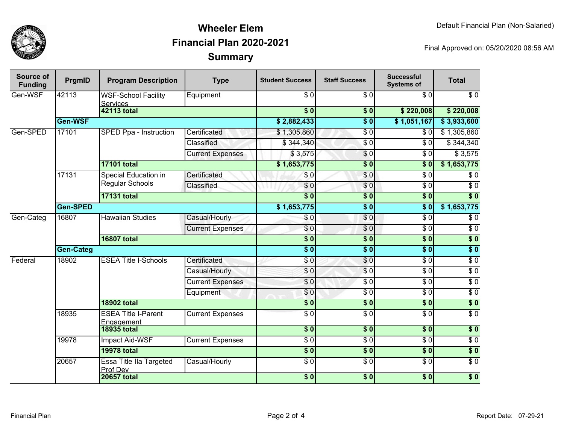

## **SummaryWheeler ElemFinancial Plan 2020-2021**

Final Approved on: 05/20/2020 08:56 AM

| Source of<br><b>Funding</b> | PrgmID           | <b>Program Description</b>                     | <b>Type</b>             | <b>Student Success</b>    | <b>Staff Success</b>     | <b>Successful</b><br><b>Systems of</b> | <b>Total</b>     |                  |
|-----------------------------|------------------|------------------------------------------------|-------------------------|---------------------------|--------------------------|----------------------------------------|------------------|------------------|
| Gen-WSF                     | 42113            | <b>WSF-School Facility</b><br><b>Services</b>  | Equipment               | $\sqrt{3}0$               | $\overline{\$0}$         | $\overline{\$0}$                       | $\overline{\$0}$ |                  |
|                             |                  | 42113 total                                    |                         | $\overline{\$0}$          | \$0                      | \$220,008                              | \$220,008        |                  |
|                             | Gen-WSF          |                                                |                         | \$2,882,433               | $\overline{\$0}$         | \$1,051,167                            | \$3,933,600      |                  |
| Gen-SPED                    | 17101            | SPED Ppa - Instruction                         | Certificated            | \$1,305,860               | $\overline{\$0}$         | \$0                                    | \$1,305,860      |                  |
|                             |                  |                                                | Classified              | \$344,340                 | $\overline{\$0}$         | \$0                                    | \$344,340        |                  |
|                             |                  |                                                | <b>Current Expenses</b> | \$3,575                   | $\overline{\$0}$         | $\overline{\$0}$                       | \$3,575          |                  |
|                             |                  | <b>17101 total</b>                             |                         | \$1,653,775               | $\overline{\$0}$         | $\overline{\textbf{S}}$ 0              | \$1,653,775      |                  |
|                             | 17131            | <b>Special Education in</b><br>Regular Schools | Certificated            | \$0                       | \$0                      | $\overline{\$0}$                       | $\overline{\$0}$ |                  |
|                             |                  |                                                | Classified              | \$0                       | \$0                      | $\overline{\$0}$                       | $\overline{\$0}$ |                  |
|                             |                  | <b>17131 total</b>                             |                         | $\overline{\$0}$          | $\overline{\$0}$         | $\overline{\$0}$                       | $\overline{\$0}$ |                  |
|                             | <b>Gen-SPED</b>  |                                                |                         | \$1,653,775               | $\overline{\$0}$         | $\overline{\$0}$                       | \$1,653,775      |                  |
| Gen-Categ                   | 16807            | <b>Hawaiian Studies</b>                        | Casual/Hourly           | \$0                       | $\overline{\$0}$         | $\overline{\$0}$                       | $\overline{\$0}$ |                  |
|                             |                  |                                                | <b>Current Expenses</b> | \$0                       | $\overline{\$0}$         | $\overline{\$0}$                       | $\overline{\$0}$ |                  |
|                             |                  | <b>16807 total</b>                             |                         | $\overline{\textbf{S}^0}$ | $\overline{\textbf{50}}$ | s <sub>0</sub>                         | $\sqrt{6}$       |                  |
|                             | <b>Gen-Categ</b> |                                                |                         | $\overline{\$0}$          | $\overline{\$0}$         | $\overline{\$0}$                       | $\overline{\$0}$ |                  |
| Federal                     | 18902            | <b>ESEA Title I-Schools</b>                    | Certificated            | $\overline{\$0}$          | $\overline{\$0}$         | $\overline{\$0}$                       | $\overline{\$0}$ |                  |
|                             |                  |                                                | Casual/Hourly           | \$0                       | $\overline{S}0$          | $\overline{\$0}$                       | $\overline{\$0}$ |                  |
|                             |                  |                                                |                         | <b>Current Expenses</b>   | $\overline{\$0}$         | $\overline{\$0}$                       | $\overline{\$0}$ | $\overline{\$0}$ |
|                             |                  |                                                | Equipment               | \$0                       | $\overline{\$0}$         | $\overline{\$0}$                       | $\overline{\$0}$ |                  |
|                             |                  | <b>18902 total</b>                             |                         | $\overline{\$}0$          | $\overline{\$0}$         | $\overline{\$0}$                       | $\overline{\$0}$ |                  |
|                             | 18935            | <b>ESEA Title I-Parent</b>                     | <b>Current Expenses</b> | $\overline{S}0$           | $\overline{\$0}$         | $\overline{\$0}$                       | $\overline{\$0}$ |                  |
|                             |                  | Engagement<br><b>18935 total</b>               |                         | $\overline{\$0}$          | $\overline{\$0}$         | $\overline{\$0}$                       | $\overline{\$0}$ |                  |
|                             |                  |                                                |                         |                           |                          |                                        |                  |                  |
|                             | 19978            | Impact Aid-WSF                                 | <b>Current Expenses</b> | $\overline{30}$           | $\overline{30}$          | $\sqrt{6}$                             | $\sqrt{6}$       |                  |
|                             |                  | <b>19978 total</b>                             |                         | 50                        | \$0                      | \$0                                    | \$0              |                  |
|                             | 20657            | Essa Title IIa Targeted<br>Prof Dev            | Casual/Hourly           | $\overline{\$0}$          | $\overline{30}$          | $\sqrt{6}$                             | $\overline{S}0$  |                  |
|                             |                  | <b>20657 total</b>                             |                         | $\overline{\$0}$          | $\overline{\$0}$         | $\overline{\$0}$                       | $\overline{\$0}$ |                  |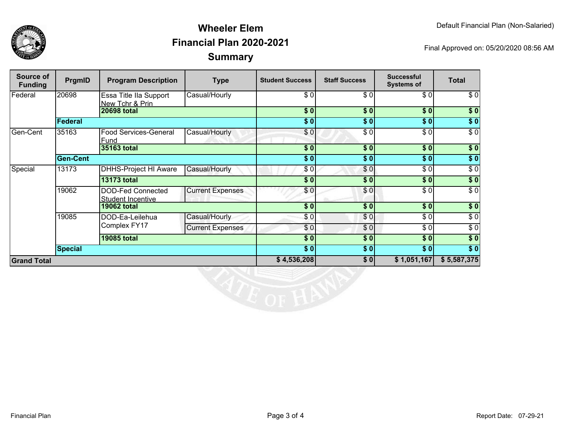

## **SummaryWheeler ElemFinancial Plan 2020-2021**

Final Approved on: 05/20/2020 08:56 AM

| Source of<br><b>Funding</b> | PrgmID          | <b>Program Description</b>                | <b>Type</b>             | <b>Student Success</b> | <b>Staff Success</b> | <b>Successful</b><br><b>Systems of</b> | <b>Total</b>     |
|-----------------------------|-----------------|-------------------------------------------|-------------------------|------------------------|----------------------|----------------------------------------|------------------|
| Federal                     | 20698           | Essa Title IIa Support<br>New Tchr & Prin | Casual/Hourly           | \$0                    | $\sqrt{6}$           | \$0                                    | \$0              |
|                             |                 | <b>20698 total</b>                        |                         | \$0                    | \$0                  | \$0                                    | \$0              |
|                             | <b>Federal</b>  |                                           |                         | \$0                    | \$0                  | \$0                                    | $\overline{\$0}$ |
| Gen-Cent                    | 35163           | Food Services-General<br>Fund             | Casual/Hourly           | \$0                    | $\overline{\$0}$     | $\overline{\$0}$                       | $\overline{\$0}$ |
|                             |                 | 35163 total                               |                         | $\overline{\$0}$       | $\overline{\bullet}$ | $\sqrt{6}$                             | \$0              |
|                             | <b>Gen-Cent</b> |                                           |                         | \$0                    | \$0                  | \$0                                    | \$0              |
| Special                     | 13173           | <b>DHHS-Project HI Aware</b>              | Casual/Hourly           | \$0                    | \$0                  | \$0                                    | $\sqrt{6}$       |
|                             |                 | <b>13173 total</b>                        |                         | \$0                    | \$0                  | \$0                                    | $\sqrt{6}$       |
|                             | 19062           | DOD-Fed Connected<br>Student Incentive    | <b>Current Expenses</b> | \$0                    | \$0                  | \$0                                    | $\sqrt{6}$       |
|                             |                 | <b>19062 total</b>                        |                         | \$0                    | \$0                  | \$0                                    | $\sqrt{6}$       |
|                             | 19085           | DOD-Ea-Leilehua<br>Complex FY17           | Casual/Hourly           | \$0                    | \$0                  | \$0                                    | $\sqrt{6}$       |
|                             |                 |                                           | <b>Current Expenses</b> | \$0]                   | \$0                  | \$0                                    | $\sqrt{6}$       |
|                             |                 | <b>19085 total</b>                        |                         | \$0                    | \$0                  | \$0                                    | $\overline{\$0}$ |
|                             | <b>Special</b>  |                                           |                         | \$0]                   | \$0                  | \$0]                                   | $\overline{\$0}$ |
| <b>Grand Total</b>          |                 |                                           | \$4,536,208             | \$0                    | \$1,051,167          | \$5,587,375                            |                  |